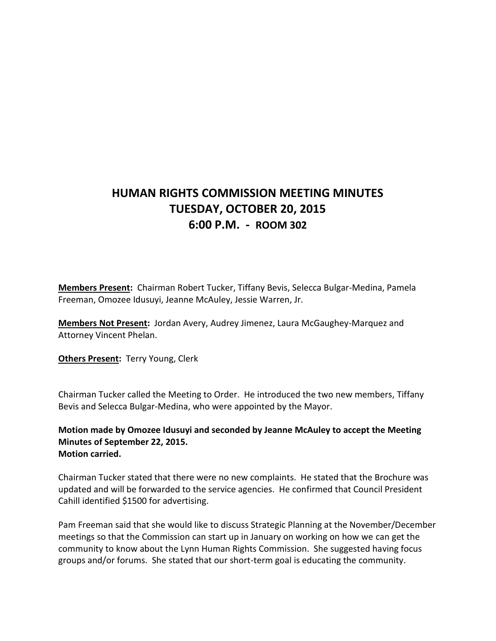## **HUMAN RIGHTS COMMISSION MEETING MINUTES TUESDAY, OCTOBER 20, 2015 6:00 P.M. - ROOM 302**

**Members Present:** Chairman Robert Tucker, Tiffany Bevis, Selecca Bulgar-Medina, Pamela Freeman, Omozee Idusuyi, Jeanne McAuley, Jessie Warren, Jr.

**Members Not Present:** Jordan Avery, Audrey Jimenez, Laura McGaughey-Marquez and Attorney Vincent Phelan.

**Others Present:** Terry Young, Clerk

Chairman Tucker called the Meeting to Order. He introduced the two new members, Tiffany Bevis and Selecca Bulgar-Medina, who were appointed by the Mayor.

**Motion made by Omozee Idusuyi and seconded by Jeanne McAuley to accept the Meeting Minutes of September 22, 2015. Motion carried.**

Chairman Tucker stated that there were no new complaints. He stated that the Brochure was updated and will be forwarded to the service agencies. He confirmed that Council President Cahill identified \$1500 for advertising.

Pam Freeman said that she would like to discuss Strategic Planning at the November/December meetings so that the Commission can start up in January on working on how we can get the community to know about the Lynn Human Rights Commission. She suggested having focus groups and/or forums. She stated that our short-term goal is educating the community.